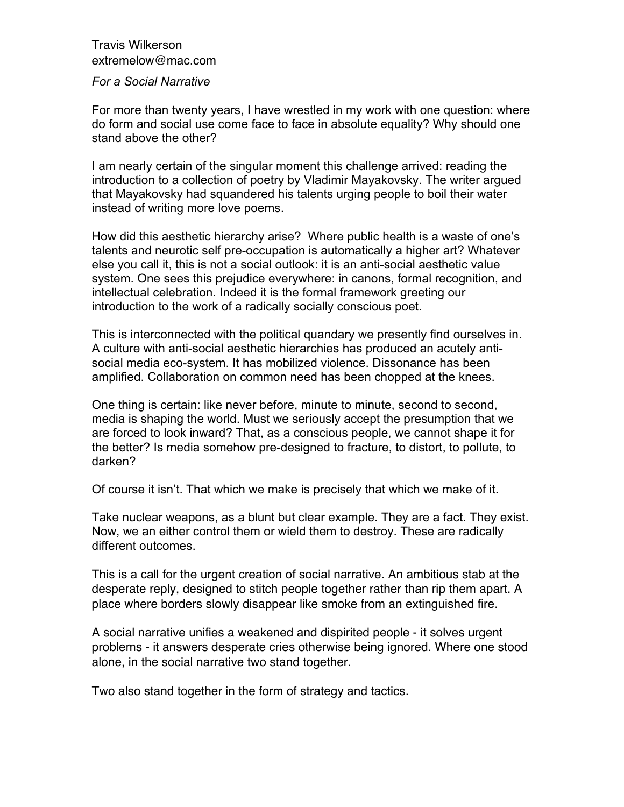## Travis Wilkerson extremelow@mac.com

## *For a Social Narrative*

For more than twenty years, I have wrestled in my work with one question: where do form and social use come face to face in absolute equality? Why should one stand above the other?

I am nearly certain of the singular moment this challenge arrived: reading the introduction to a collection of poetry by Vladimir Mayakovsky. The writer argued that Mayakovsky had squandered his talents urging people to boil their water instead of writing more love poems.

How did this aesthetic hierarchy arise? Where public health is a waste of one's talents and neurotic self pre-occupation is automatically a higher art? Whatever else you call it, this is not a social outlook: it is an anti-social aesthetic value system. One sees this prejudice everywhere: in canons, formal recognition, and intellectual celebration. Indeed it is the formal framework greeting our introduction to the work of a radically socially conscious poet.

This is interconnected with the political quandary we presently find ourselves in. A culture with anti-social aesthetic hierarchies has produced an acutely antisocial media eco-system. It has mobilized violence. Dissonance has been amplified. Collaboration on common need has been chopped at the knees.

One thing is certain: like never before, minute to minute, second to second, media is shaping the world. Must we seriously accept the presumption that we are forced to look inward? That, as a conscious people, we cannot shape it for the better? Is media somehow pre-designed to fracture, to distort, to pollute, to darken?

Of course it isn't. That which we make is precisely that which we make of it.

Take nuclear weapons, as a blunt but clear example. They are a fact. They exist. Now, we an either control them or wield them to destroy. These are radically different outcomes.

This is a call for the urgent creation of social narrative. An ambitious stab at the desperate reply, designed to stitch people together rather than rip them apart. A place where borders slowly disappear like smoke from an extinguished fire.

A social narrative unifies a weakened and dispirited people - it solves urgent problems - it answers desperate cries otherwise being ignored. Where one stood alone, in the social narrative two stand together.

Two also stand together in the form of strategy and tactics.